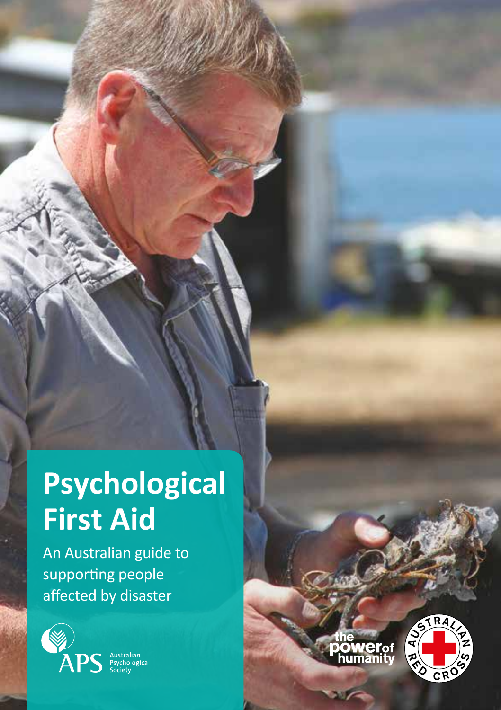# **Psychological First Aid**

An Australian guide to supporting people affected by disaster





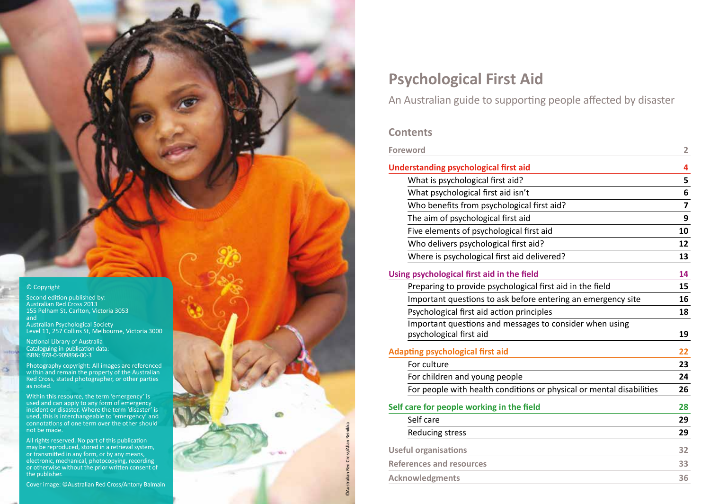© Copyright

Second edition published by: Australian Red Cross 2013 155 Pelham St, Carlton, Victoria 3053 and

Australian Psychological Society Level 11, 257 Collins St, Melbourne, Victoria 3000

National Library of Australia Cataloguing-in-publication data: ISBN: 978-0-909896-00-3

Photography copyright: All images are referenced within and remain the property of the Australian Red Cross, stated photographer, or other parties as noted.

Within this resource, the term 'emergency' is used and can apply to any form of emergency incident or disaster. Where the term 'disaster' is used, this is interchangeable to 'emergency' and connotations of one term over the other should not be made.

All rights reserved. No part of this publication may be reproduced, stored in a retrieval system, or transmitted in any form, or by any means, electronic, mechanical, photocopying, recording or otherwise without the prior written consent of the publisher.

## **Psychological First Aid**

An Australian guide to supporting people affected by disaster

## **Contents**

©Australian Red Cross/Allan Reinikka

ā

| <b>Foreword</b>                                                      |    |  |
|----------------------------------------------------------------------|----|--|
| <b>Understanding psychological first aid</b>                         | 4  |  |
| What is psychological first aid?                                     |    |  |
| What psychological first aid isn't                                   |    |  |
| Who benefits from psychological first aid?                           |    |  |
| The aim of psychological first aid                                   |    |  |
| Five elements of psychological first aid                             |    |  |
| Who delivers psychological first aid?                                |    |  |
| Where is psychological first aid delivered?                          | 13 |  |
| Using psychological first aid in the field                           | 14 |  |
| Preparing to provide psychological first aid in the field            | 15 |  |
| Important questions to ask before entering an emergency site         |    |  |
| Psychological first aid action principles                            | 18 |  |
| Important questions and messages to consider when using              |    |  |
| psychological first aid                                              | 19 |  |
| <b>Adapting psychological first aid</b>                              |    |  |
| For culture                                                          |    |  |
| For children and young people                                        |    |  |
| For people with health conditions or physical or mental disabilities | 26 |  |
| Self care for people working in the field                            | 28 |  |
| Self care                                                            | 29 |  |
| <b>Reducing stress</b>                                               | 29 |  |
| <b>Useful organisations</b>                                          | 32 |  |
| <b>References and resources</b>                                      |    |  |
| <b>Acknowledgments</b>                                               | 36 |  |
|                                                                      |    |  |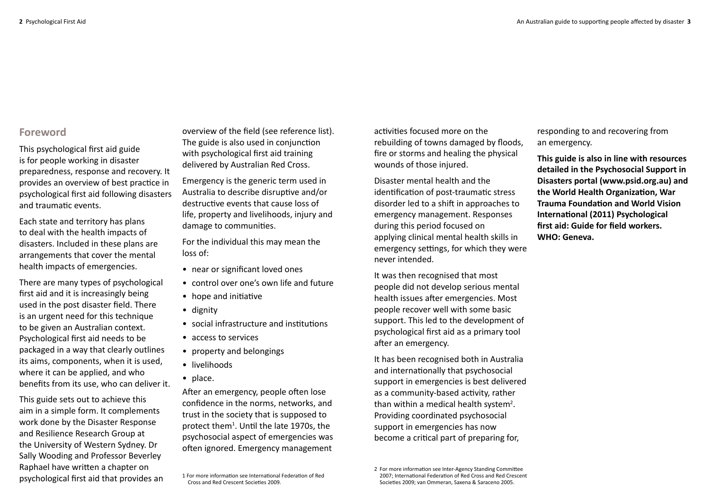## **Foreword**

This psychological first aid guide is for people working in disaster preparedness, response and recovery. It provides an overview of best practice in psychological first aid following disasters and traumatic events.

Each state and territory has plans to deal with the health impacts of disasters. Included in these plans are arrangements that cover the mental health impacts of emergencies.

There are many types of psychological first aid and it is increasingly being used in the post disaster field. There is an urgent need for this technique to be given an Australian context. Psychological first aid needs to be packaged in a way that clearly outlines its aims, components, when it is used, where it can be applied, and who benefits from its use, who can deliver it.

This guide sets out to achieve this aim in a simple form. It complements work done by the Disaster Response and Resilience Research Group at the University of Western Sydney. Dr Sally Wooding and Professor Beverley Raphael have written a chapter on psychological first aid that provides an

overview of the field (see reference list). The guide is also used in conjunction with psychological first aid training delivered by Australian Red Cross.

Emergency is the generic term used in Australia to describe disruptive and/or destructive events that cause loss of life, property and livelihoods, injury and damage to communities.

For the individual this may mean the loss of:

- near or significant loved ones
- control over one's own life and future
- hope and initiative
- dignity
- social infrastructure and institutions
- access to services
- property and belongings
- livelihoods
- place.

After an emergency, people often lose confidence in the norms, networks, and trust in the society that is supposed to protect them<sup>1</sup>. Until the late 1970s, the psychosocial aspect of emergencies was often ignored. Emergency management

1 For more information see International Federation of Red

Cross and Red Crescent Societies 2009.

activities focused more on the rebuilding of towns damaged by floods, fire or storms and healing the physical wounds of those injured.

Disaster mental health and the identification of post-traumatic stress disorder led to a shift in approaches to emergency management. Responses during this period focused on applying clinical mental health skills in emergency settings, for which they were never intended.

It was then recognised that most people did not develop serious mental health issues after emergencies. Most people recover well with some basic support. This led to the development of psychological first aid as a primary tool after an emergency.

It has been recognised both in Australia and internationally that psychosocial support in emergencies is best delivered as a community-based activity, rather than within a medical health system<sup>2</sup>. Providing coordinated psychosocial support in emergencies has now become a critical part of preparing for,

responding to and recovering from an emergency.

**This guide is also in line with resources detailed in the Psychosocial Support in Disasters portal (www.psid.org.au) and the World Health Organization, War Trauma Foundation and World Vision International (2011) Psychological first aid: Guide for field workers. WHO: Geneva.**

<sup>2</sup> For more information see Inter-Agency Standing Committee 2007; International Federation of Red Cross and Red Crescent Societies 2009; van Ommeran, Saxena & Saraceno 2005.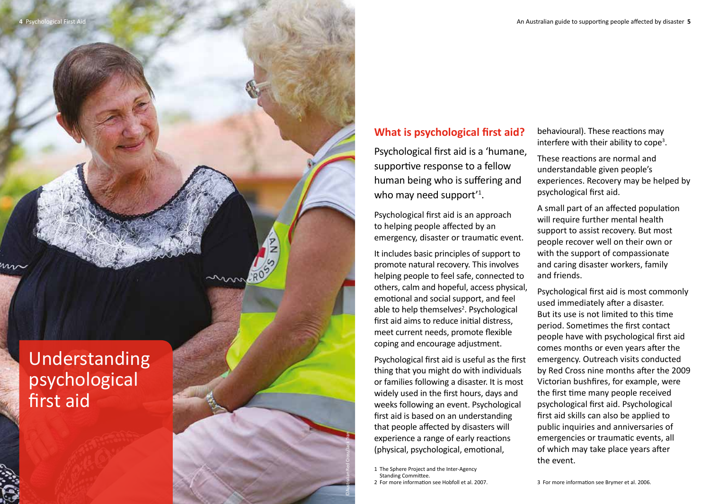## **What is psychological first aid?**

Psychological first aid is a 'humane, supportive response to a fellow human being who is suffering and who may need support<sup>'1</sup>.

Psychological first aid is an approach to helping people affected by an emergency, disaster or traumatic event.

It includes basic principles of support to promote natural recovery. This involves helping people to feel safe, connected to others, calm and hopeful, access physical, emotional and social support, and feel able to help themselves 2 . Psychological first aid aims to reduce initial distress, meet current needs, promote flexible coping and encourage adjustment.

Psychological first aid is useful as the first thing that you might do with individuals or families following a disaster. It is most widely used in the first hours, days and weeks following an event. Psychological first aid is based on an understanding that people affected by disasters will experience a range of early reactions (physical, psychological, emotional,<br>1 The Sphere Project and the Inter-Agency

Standing Committee.

©Australian Red Cross/Jack Tran

 $\frac{8}{2}$ 

2 For more information see Hobfoll et al. 2007.

behavioural). These reactions may interfere with their ability to cope<sup>3</sup>.

These reactions are normal and understandable given people's experiences. Recovery may be helped by psychological first aid.

A small part of an affected population will require further mental health support to assist recovery. But most people recover well on their own or with the support of compassionate and caring disaster workers, family and friends.

Psychological first aid is most commonly used immediately after a disaster. But its use is not limited to this time period. Sometimes the first contact people have with psychological first aid comes months or even years after the emergency. Outreach visits conducted by Red Cross nine months after the 2009 Victorian bushfires, for example, were the first time many people received psychological first aid. Psychological first aid skills can also be applied to public inquiries and anniversaries of emergencies or traumatic events, all of which may take place years after the event.

3 For more information see Brymer et al. 2006.

Understanding psychological first aid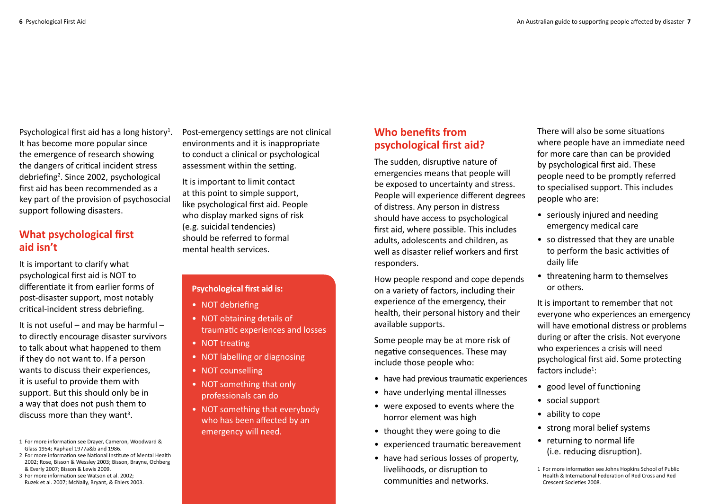Psychological first aid has a long history<sup>1</sup>. It has become more popular since the emergence of research showing the dangers of critical incident stress debriefing<sup>2</sup>. Since 2002, psychological first aid has been recommended as a key part of the provision of psychosocial support following disasters.

## **What psychological first aid isn't**

It is important to clarify what psychological first aid is NOT to differentiate it from earlier forms of post-disaster support, most notably critical-incident stress debriefing.

It is not useful – and may be harmful – to directly encourage disaster survivors to talk about what happened to them if they do not want to. If a person wants to discuss their experiences, it is useful to provide them with support. But this should only be in a way that does not push them to discuss more than they want<sup>3</sup>.

1 For more information see Drayer, Cameron, Woodward & Glass 1954; Raphael 1977a&b and 1986.

- 2 For more information see National Institute of Mental Health 2002; Rose, Bisson & Wessley 2003; Bisson, Brayne, Ochberg & Everly 2007; Bisson & Lewis 2009.
- 3 For more information see Watson et al. 2002; Ruzek et al. 2007; McNally, Bryant, & Ehlers 2003.

Post-emergency settings are not clinical environments and it is inappropriate to conduct a clinical or psychological assessment within the setting.

It is important to limit contact at this point to simple support, like psychological first aid. People who display marked signs of risk (e.g. suicidal tendencies) should be referred to formal mental health services.

## **Psychological first aid is:**

- NOT debriefing
- NOT obtaining details of traumatic experiences and losses
- NOT treating
- NOT labelling or diagnosing
- NOT counselling
- NOT something that only professionals can do
- NOT something that everybody who has been affected by an emergency will need.

## **Who benefits from psychological first aid?**

The sudden, disruptive nature of emergencies means that people will be exposed to uncertainty and stress. People will experience different degrees of distress. Any person in distress should have access to psychological first aid, where possible. This includes adults, adolescents and children, as well as disaster relief workers and first responders.

How people respond and cope depends on a variety of factors, including their experience of the emergency, their health, their personal history and their available supports.

Some people may be at more risk of negative consequences. These may include those people who:

- have had previous traumatic experiences
- have underlying mental illnesses
- were exposed to events where the horror element was high
- thought they were going to die
- experienced traumatic bereavement
- have had serious losses of property, livelihoods, or disruption to communities and networks.

There will also be some situations where people have an immediate need for more care than can be provided by psychological first aid. These people need to be promptly referred to specialised support. This includes people who are:

- seriously injured and needing emergency medical care
- so distressed that they are unable to perform the basic activities of daily life
- threatening harm to themselves or others.

It is important to remember that not everyone who experiences an emergency will have emotional distress or problems during or after the crisis. Not everyone who experiences a crisis will need psychological first aid. Some protecting factors include<sup>1</sup>:

- good level of functioning
- social support
- ability to cope
- strong moral belief systems
- returning to normal life (i.e. reducing disruption).
- 1 For more information see Johns Hopkins School of Public Health & International Federation of Red Cross and Red Crescent Societies 2008.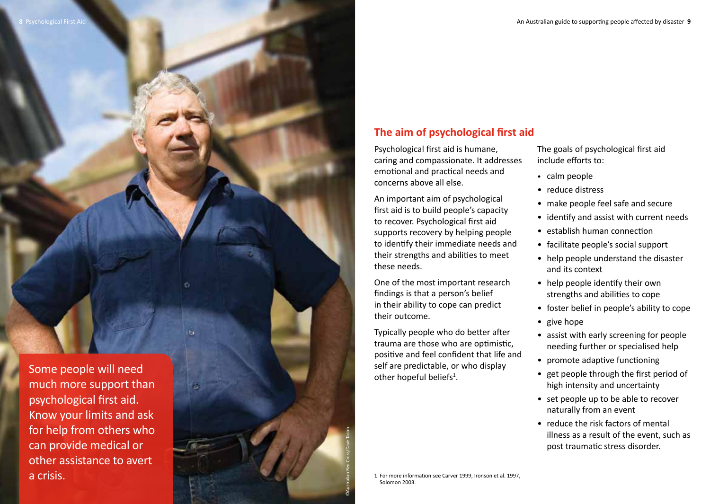## **The aim of psychological first aid**

Psychological first aid is humane, caring and compassionate. It addresses emotional and practical needs and concerns above all else.

An important aim of psychological first aid is to build people's capacity to recover. Psychological first aid supports recovery by helping people to identify their immediate needs and their strengths and abilities to meet these needs.

One of the most important research findings is that a person's belief in their ability to cope can predict their outcome.

Typically people who do better after trauma are those who are optimistic, positive and feel confident that life and self are predictable, or who display other hopeful beliefs<sup>1</sup>.

The goals of psychological first aid include efforts to: • calm people

- 
- reduce distress
- make people feel safe and secure
- identify and assist with current needs
- establish human connection
- facilitate people's social support
- help people understand the disaster and its context
- help people identify their own strengths and abilities to cope
- foster belief in people's ability to cope
- give hope
- assist with early screening for people needing further or specialised help
- promote adaptive functioning
- get people through the first period of high intensity and uncertainty
- set people up to be able to recover naturally from an event
- reduce the risk factors of mental illness as a result of the event, such as post traumatic stress disorder.

Some people will need much more support than psychological first aid. Know your limits and ask for help from others who can provide medical or other assistance to avert a crisis.



1 For more information see Carver 1999, Ironson et al. 1997, Solomon 2003.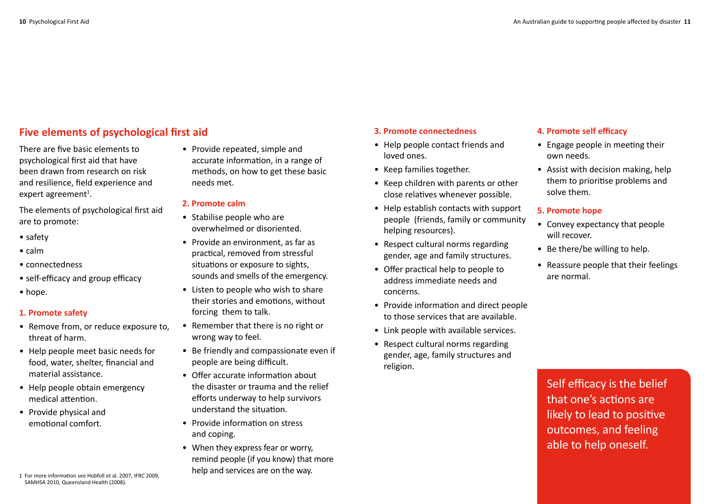## **Five elements of psychological first aid**

There are five basic elements to psychological first aid that have been drawn from research on risk and resilience, field experience and expert agreement<sup>1</sup>.

The elements of psychological first aid are to promote:

- safety
- calm
- connectedness
- self-efficacy and group efficacy
- hope.

## **1. Promote safety**

- Remove from, or reduce exposure to, threat of harm.
- Help people meet basic needs for food, water, shelter, financial and material assistance.
- Help people obtain emergency medical attention.
- Provide physical and emotional comfort.

1 For more information see Hobfoll et al. 2007, IFRC 2009, SAMHSA 2010, Queensland Health (2008).

• Provide repeated, simple and accurate information, in a range of methods, on how to get these basic needs met.

## **2. Promote calm**

- Stabilise people who are overwhelmed or disoriented.
- Provide an environment, as far as practical, removed from stressful situations or exposure to sights, sounds and smells of the emergency.
- Listen to people who wish to share their stories and emotions, without forcing them to talk.
- Remember that there is no right or wrong way to feel.
- Be friendly and compassionate even if people are being difficult.
- Offer accurate information about the disaster or trauma and the relief efforts underway to help survivors understand the situation.
- Provide information on stress and coping.
- When they express fear or worry, remind people (if you know) that more help and services are on the way.

#### **3. Promote connectedness**

- Help people contact friends and loved ones.
- Keep families together.
- Keep children with parents or other close relatives whenever possible.
- Help establish contacts with support people (friends, family or community helping resources).
- Respect cultural norms regarding gender, age and family structures.
- Offer practical help to people to address immediate needs and concerns.
- Provide information and direct people to those services that are available.
- Link people with available services.
- Respect cultural norms regarding gender, age, family structures and religion.

#### **4. Promote self efficacy**

- Engage people in meeting their own needs.
- Assist with decision making, help them to prioritise problems and solve them.

## **5. Promote hope**

- Convey expectancy that people will recover.
- Be there/be willing to help.
- Reassure people that their feelings are normal.

Self efficacy is the belief that one's actions are likely to lead to positive outcomes, and feeling able to help oneself.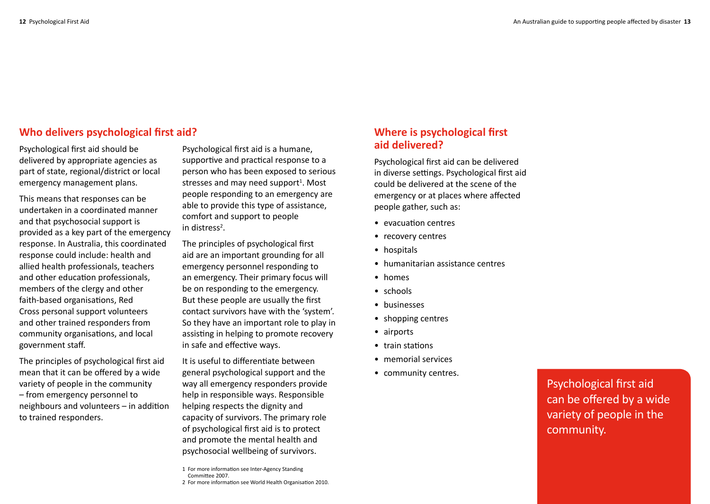## **Who delivers psychological first aid?**

Psychological first aid should be delivered by appropriate agencies as part of state, regional/district or local emergency management plans.

This means that responses can be undertaken in a coordinated manner and that psychosocial support is provided as a key part of the emergency response. In Australia, this coordinated response could include: health and allied health professionals, teachers and other education professionals, members of the clergy and other faith-based organisations, Red Cross personal support volunteers and other trained responders from community organisations, and local government staff.

The principles of psychological first aid mean that it can be offered by a wide variety of people in the community – from emergency personnel to neighbours and volunteers – in addition to trained responders.

Psychological first aid is a humane, supportive and practical response to a person who has been exposed to serious stresses and may need support<sup>1</sup>. Most people responding to an emergency are able to provide this type of assistance, comfort and support to people in distress<sup>2</sup>.

The principles of psychological first aid are an important grounding for all emergency personnel responding to an emergency. Their primary focus will be on responding to the emergency. But these people are usually the first contact survivors have with the 'system'. So they have an important role to play in assisting in helping to promote recovery in safe and effective ways.

It is useful to differentiate between general psychological support and the way all emergency responders provide help in responsible ways. Responsible helping respects the dignity and capacity of survivors. The primary role of psychological first aid is to protect and promote the mental health and psychosocial wellbeing of survivors.

## **Where is psychological first aid delivered?**

Psychological first aid can be delivered in diverse settings. Psychological first aid could be delivered at the scene of the emergency or at places where affected people gather, such as:

- evacuation centres
- recovery centres
- hospitals
- humanitarian assistance centres
- homes
- schools
- businesses
- shopping centres
- airports
- train stations
- memorial services
- community centres.

Psychological first aid can be offered by a wide variety of people in the community.

<sup>1</sup> For more information see Inter-Agency Standing Committee 2007.

<sup>2</sup> For more information see World Health Organisation 2010.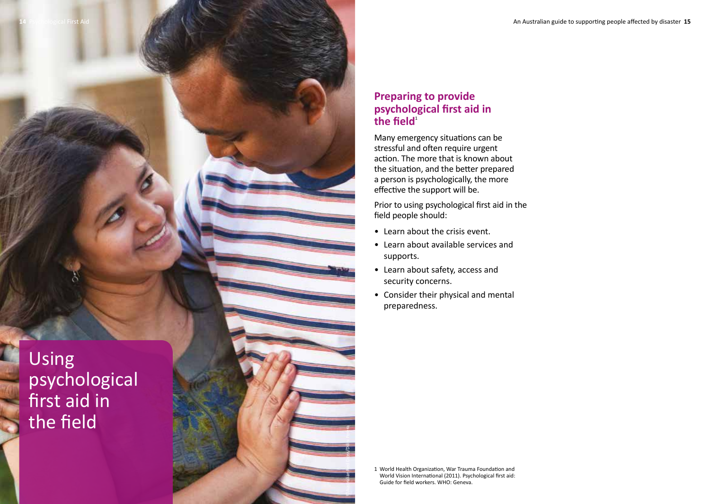

## **Preparing to provide psychological first aid in**  the  $\mathbf{field}^1$

Many emergency situations can be stressful and often require urgent action. The more that is known about the situation, and the better prepared a person is psychologically, the more effective the support will be.

Prior to using psychological first aid in the field people should:

- Learn about the crisis event.
- Learn about available services and supports.
- Learn about safety, access and security concerns.
- Consider their physical and mental preparedness.

1 World Health Organization, War Trauma Foundation and World Vision International (2011). Psychological first aid: Guide for field workers. WHO: Geneva.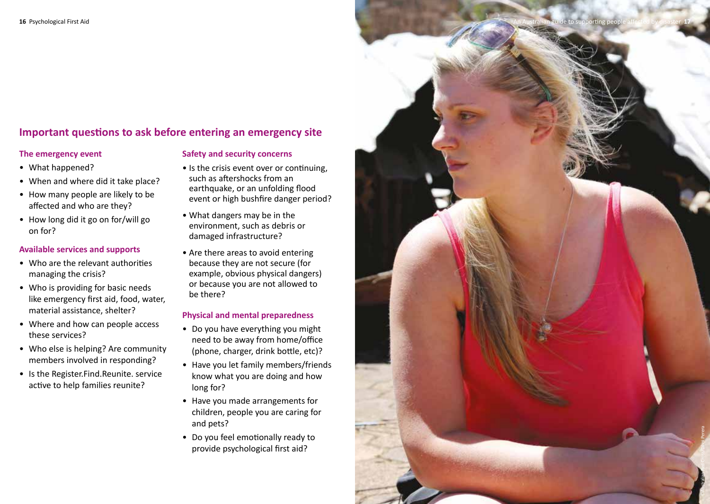## **Important questions to ask before entering an emergency site**

#### **The emergency event**

- What happened?
- When and where did it take place?
- How many people are likely to be affected and who are they?
- How long did it go on for/will go on for?

#### **Available services and supports**

- Who are the relevant authorities managing the crisis?
- Who is providing for basic needs like emergency first aid, food, water, material assistance, shelter?
- Where and how can people access these services?
- Who else is helping? Are community members involved in responding?
- Is the Register.Find.Reunite. service active to help families reunite?

#### **Safety and security concerns**

- Is the crisis event over or continuing, such as aftershocks from an earthquake, or an unfolding flood event or high bushfire danger period?
- What dangers may be in the environment, such as debris or damaged infrastructure?
- Are there areas to avoid entering because they are not secure (for example, obvious physical dangers) or because you are not allowed to be there?

#### **Physical and mental preparedness**

- Do you have everything you might need to be away from home/office (phone, charger, drink bottle, etc)?
- Have you let family members/friends know what you are doing and how long for?
- Have you made arrangements for children, people you are caring for and pets?
- Do you feel emotionally ready to provide psychological first aid?

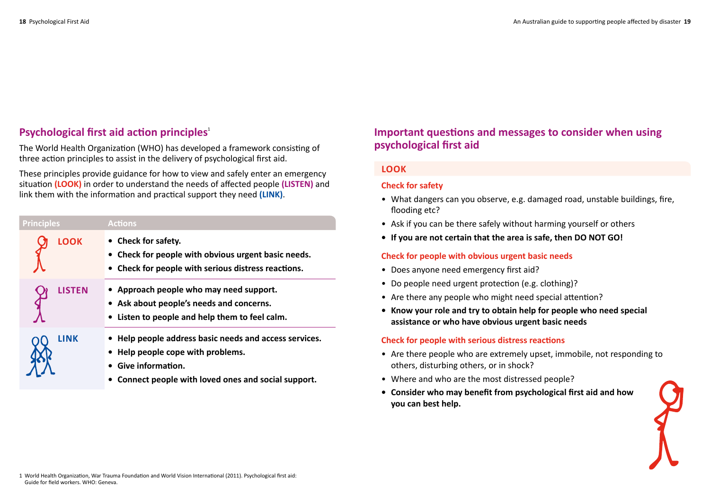## **Psychological first aid action principles**<sup>1</sup>

The World Health Organization (WHO) has developed a framework consisting of three action principles to assist in the delivery of psychological first aid.

These principles provide guidance for how to view and safely enter an emergency situation **(LOOK)** in order to understand the needs of affected people **(LISTEN)** and link them with the information and practical support they need **(LINK)**.

| <b>Principles</b> | <b>Actions</b>                                                                                                                                                         |
|-------------------|------------------------------------------------------------------------------------------------------------------------------------------------------------------------|
| <b>LOOK</b>       | • Check for safety.<br>• Check for people with obvious urgent basic needs.<br>• Check for people with serious distress reactions.                                      |
| <b>LISTEN</b>     | • Approach people who may need support.<br>• Ask about people's needs and concerns.<br>• Listen to people and help them to feel calm.                                  |
| LINK              | • Help people address basic needs and access services.<br>• Help people cope with problems.<br>Give information.<br>Connect people with loved ones and social support. |

## **Important questions and messages to consider when using psychological first aid**

## **Look**

#### **Check for safety**

- What dangers can you observe, e.g. damaged road, unstable buildings, fire, flooding etc?
- Ask if you can be there safely without harming yourself or others
- **If you are not certain that the area is safe, then DO NOT GO!**

#### **Check for people with obvious urgent basic needs**

- Does anyone need emergency first aid?
- Do people need urgent protection (e.g. clothing)?
- Are there any people who might need special attention?
- **Know your role and try to obtain help for people who need special assistance or who have obvious urgent basic needs**

#### **Check for people with serious distress reactions**

- Are there people who are extremely upset, immobile, not responding to others, disturbing others, or in shock?
- Where and who are the most distressed people?
- **Consider who may benefit from psychological first aid and how you can best help.**

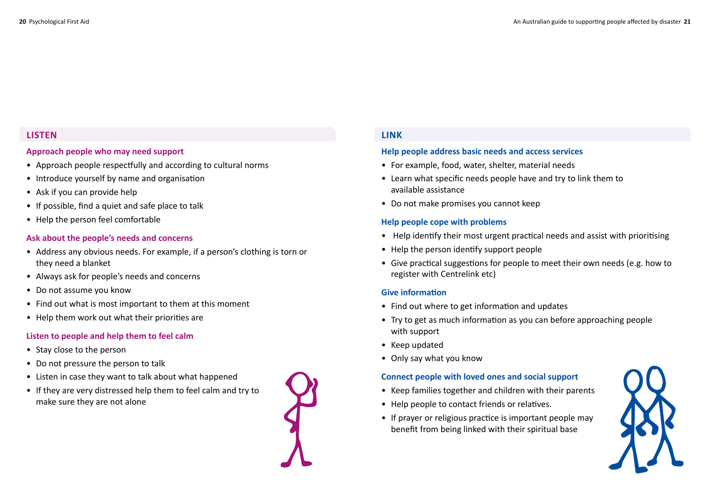## **Listen**

#### **Approach people who may need support**

- Approach people respectfully and according to cultural norms
- Introduce yourself by name and organisation
- Ask if you can provide help
- If possible, find a quiet and safe place to talk
- Help the person feel comfortable

#### **Ask about the people's needs and concerns**

- Address any obvious needs. For example, if a person's clothing is torn or they need a blanket
- Always ask for people's needs and concerns
- Do not assume you know
- Find out what is most important to them at this moment
- Help them work out what their priorities are

#### **Listen to people and help them to feel calm**

- Stay close to the person
- Do not pressure the person to talk
- Listen in case they want to talk about what happened
- If they are very distressed help them to feel calm and try to make sure they are not alone



## **Link**

#### **Help people address basic needs and access services**

- For example, food, water, shelter, material needs
- Learn what specific needs people have and try to link them to available assistance
- Do not make promises you cannot keep

#### **Help people cope with problems**

- Help identify their most urgent practical needs and assist with prioritising
- Help the person identify support people
- Give practical suggestions for people to meet their own needs (e.g. how to register with Centrelink etc)

#### **Give information**

- Find out where to get information and updates
- Try to get as much information as you can before approaching people with support
- Keep updated
- Only say what you know

#### **Connect people with loved ones and social support**

- Keep families together and children with their parents
- Help people to contact friends or relatives.
- If prayer or religious practice is important people may benefit from being linked with their spiritual base

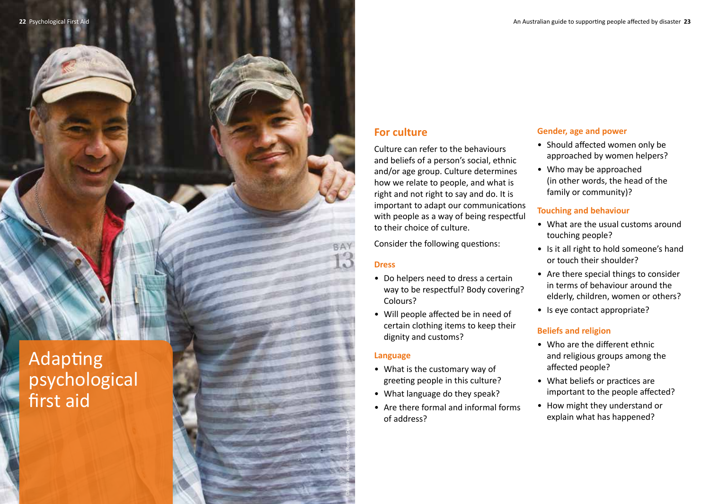Adapting psychological first aid

## **For culture**

Culture can refer to the behaviours and beliefs of a person's social, ethnic and/or age group. Culture determines how we relate to people, and what is right and not right to say and do. It is important to adapt our communications with people as a way of being respectful to their choice of culture.

Consider the following questions:

#### **Dress**

- Do helpers need to dress a certain way to be respectful? Body covering? Colours?
- Will people affected be in need of certain clothing items to keep their dignity and customs?

#### **Language**

©Australian Red Cross/Rodney Dekker

- What is the customary way of greeting people in this culture?
- What language do they speak?
- Are there formal and informal forms of address?

## **Gender, age and power**

- Should affected women only be approached by women helpers?
- Who may be approached (in other words, the head of the family or community)?

#### **Touching and behaviour**

- What are the usual customs around touching people?
- Is it all right to hold someone's hand or touch their shoulder?
- Are there special things to consider in terms of behaviour around the elderly, children, women or others?
- Is eye contact appropriate?

## **Beliefs and religion**

- Who are the different ethnic and religious groups among the affected people?
- What beliefs or practices are important to the people affected?
- How might they understand or explain what has happened?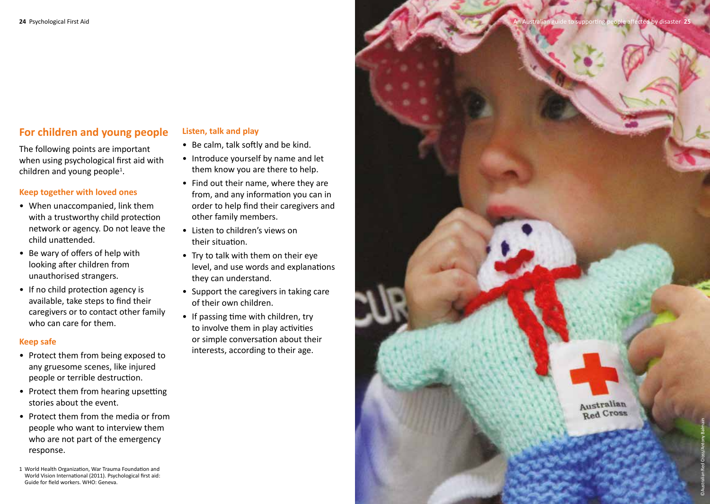## **For children and young people**

The following points are important when using psychological first aid with children and young people<sup>1</sup>.

#### **Keep together with loved ones**

- When unaccompanied, link them with a trustworthy child protection network or agency. Do not leave the child unattended.
- Be wary of offers of help with looking after children from unauthorised strangers.
- If no child protection agency is available, take steps to find their caregivers or to contact other family who can care for them.

#### **Keep safe**

- Protect them from being exposed to any gruesome scenes, like injured people or terrible destruction.
- Protect them from hearing upsetting stories about the event.
- Protect them from the media or from people who want to interview them who are not part of the emergency response.

1 World Health Organization, War Trauma Foundation and World Vision International (2011). Psychological first aid: Guide for field workers. WHO: Geneva.

#### **Listen, talk and play**

- Be calm, talk softly and be kind.
- Introduce yourself by name and let them know you are there to help.
- Find out their name, where they are from, and any information you can in order to help find their caregivers and other family members.
- Listen to children's views on their situation.
- Try to talk with them on their eye level, and use words and explanations they can understand.
- Support the caregivers in taking care of their own children.
- If passing time with children, try to involve them in play activities or simple conversation about their interests, according to their age.

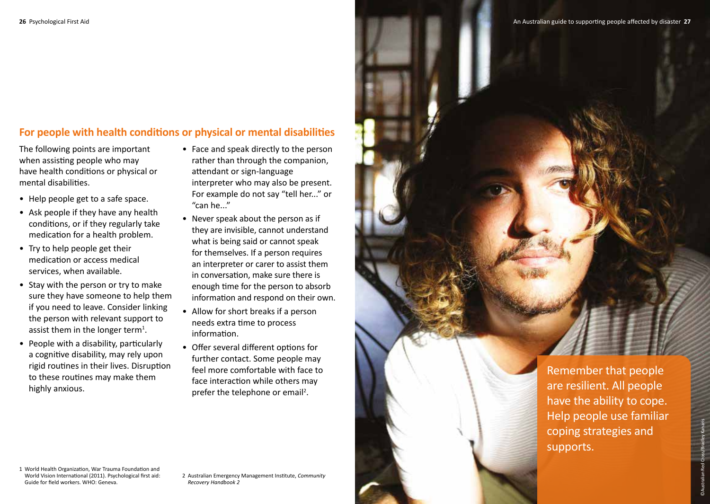## **For people with health conditions or physical or mental disabilities**

The following points are important when assisting people who may have health conditions or physical or mental disabilities.

- Help people get to a safe space.
- Ask people if they have any health conditions, or if they regularly take medication for a health problem.
- Try to help people get their medication or access medical services, when available.
- Stay with the person or try to make sure they have someone to help them if you need to leave. Consider linking the person with relevant support to assist them in the longer term<sup>1</sup>.
- People with a disability, particularly a cognitive disability, may rely upon rigid routines in their lives. Disruption to these routines may make them highly anxious.
- Face and speak directly to the person rather than through the companion, attendant or sign-language interpreter who may also be present. For example do not say "tell her..." or "can he..."
- Never speak about the person as if they are invisible, cannot understand what is being said or cannot speak for themselves. If a person requires an interpreter or carer to assist them in conversation, make sure there is enough time for the person to absorb information and respond on their own.
- Allow for short breaks if a person needs extra time to process information.
- Offer several different options for further contact. Some people may feel more comfortable with face to face interaction while others may prefer the telephone or email<sup>2</sup>.

Remember that people are resilient. All people have the ability to cope. Help people use familiar coping strategies and supports.

©Australian Red Cross/Bradley Kanaris

1 World Health Organization, War Trauma Foundation and World Vision International (2011). Psychological first aid: Guide for field workers. WHO: Geneva.

2 Australian Emergency Management Institute, *Community Recovery Handbook 2*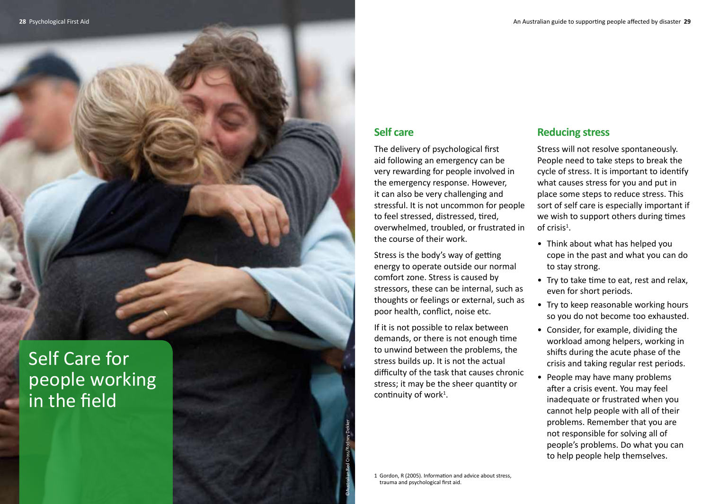## **Self care**

The delivery of psychological first aid following an emergency can be very rewarding for people involved in the emergency response. However, it can also be very challenging and stressful. It is not uncommon for people to feel stressed, distressed, tired, overwhelmed, troubled, or frustrated in the course of their work.

Stress is the body's way of getting energy to operate outside our normal comfort zone. Stress is caused by stressors, these can be internal, such as thoughts or feelings or external, such as poor health, conflict, noise etc.

If it is not possible to relax between demands, or there is not enough time to unwind between the problems, the stress builds up. It is not the actual difficulty of the task that causes chronic stress; it may be the sheer quantity or continuity of work<sup>1</sup>.

## **Reducing stress**

Stress will not resolve spontaneously. People need to take steps to break the cycle of stress. It is important to identify what causes stress for you and put in place some steps to reduce stress. This sort of self care is especially important if we wish to support others during times of crisis<sup>1</sup>.

- Think about what has helped you cope in the past and what you can do to stay strong.
- Try to take time to eat, rest and relax, even for short periods.
- Try to keep reasonable working hours so you do not become too exhausted.
- Consider, for example, dividing the workload among helpers, working in shifts during the acute phase of the crisis and taking regular rest periods.
- People may have many problems after a crisis event. You may feel inadequate or frustrated when you cannot help people with all of their problems. Remember that you are not responsible for solving all of people's problems. Do what you can to help people help themselves.

Self Care for people working in the field

> 1 Gordon, R (2005). Information and advice about stress, trauma and psychological first aid.

©Australian Red Cross/Rodney Dekker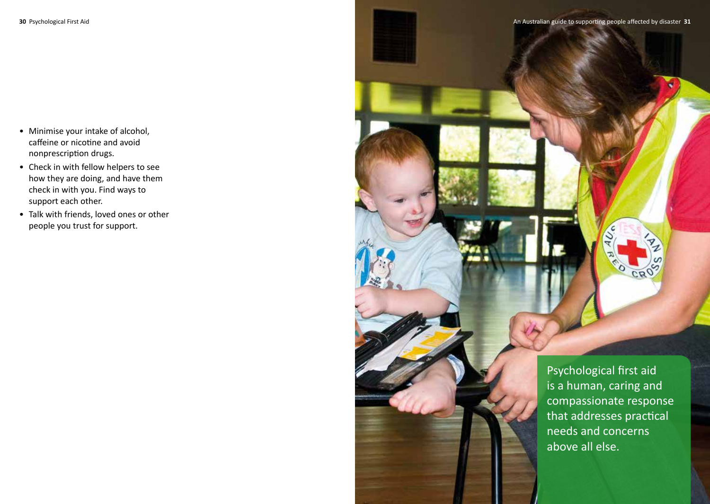- Minimise your intake of alcohol, caffeine or nicotine and avoid nonprescription drugs.
- Check in with fellow helpers to see how they are doing, and have them check in with you. Find ways to support each other.
- Talk with friends, loved ones or other people you trust for support.

Psychological first aid is a human, caring and compassionate response that addresses practical needs and concerns above all else.

CROS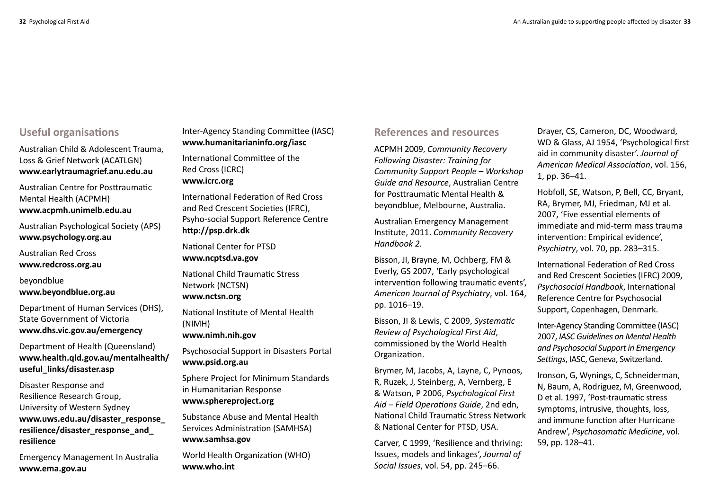## **Useful organisations**

Australian Child & Adolescent Trauma, Loss & Grief Network (ACATLGN) **www.earlytraumagrief.anu.edu.au** 

Australian Centre for Posttraumatic Mental Health (ACPMH) **www.acpmh.unimelb.edu.au** 

Australian Psychological Society (APS) **www.psychology.org.au** 

Australian Red Cross **www.redcross.org.au** 

beyondblue **www.beyondblue.org.au** 

Department of Human Services (DHS), State Government of Victoria **www.dhs.vic.gov.au/emergency** 

Department of Health (Queensland) **www.health.qld.gov.au/mentalhealth/ useful\_links/disaster.asp**

Disaster Response and Resilience Research Group, University of Western Sydney **www.uws.edu.au/disaster\_response\_ resilience/disaster\_response\_and\_ resilience**

Emergency Management In Australia **www.ema.gov.au** 

Inter-Agency Standing Committee (IASC) **www.humanitarianinfo.org/iasc** 

International Committee of the Red Cross (ICRC) **www.icrc.org**

International Federation of Red Cross and Red Crescent Societies (IFRC), Psyho-social Support Reference Centre **http://psp.drk.dk**

National Center for PTSD **www.ncptsd.va.gov**

National Child Traumatic Stress Network (NCTSN) **www.nctsn.org**

National Institute of Mental Health (NIMH)

**www.nimh.nih.gov** 

Psychosocial Support in Disasters Portal **www.psid.org.au**

Sphere Project for Minimum Standards in Humanitarian Response **www.sphereproject.org** 

Substance Abuse and Mental Health Services Administration (SAMHSA) **www.samhsa.gov** 

World Health Organization (WHO) **www.who.int** 

## **References and resources**

ACPMH 2009, *Community Recovery Following Disaster: Training for Community Support People – Workshop Guide and Resource*, Australian Centre for Posttraumatic Mental Health & beyondblue, Melbourne, Australia.

Australian Emergency Management Institute, 2011. *Community Recovery Handbook 2.*

Bisson, JI, Brayne, M, Ochberg, FM & Everly, GS 2007, 'Early psychological intervention following traumatic events', *American Journal of Psychiatry*, vol. 164, pp. 1016–19.

Bisson, JI & Lewis, C 2009, *Systematic Review of Psychological First Aid*, commissioned by the World Health Organization.

Brymer, M, Jacobs, A, Layne, C, Pynoos, R, Ruzek, J, Steinberg, A, Vernberg, E & Watson, P 2006, *Psychological First Aid – Field Operations Guide*, 2nd edn, National Child Traumatic Stress Network & National Center for PTSD, USA.

Carver, C 1999, 'Resilience and thriving: Issues, models and linkages', *Journal of Social Issues*, vol. 54, pp. 245–66.

Drayer, CS, Cameron, DC, Woodward, WD & Glass, AJ 1954, 'Psychological first aid in community disaster'. *Journal of American Medical Association*, vol. 156, 1, pp. 36–41.

Hobfoll, SE, Watson, P, Bell, CC, Bryant, RA, Brymer, MJ, Friedman, MJ et al. 2007, 'Five essential elements of immediate and mid-term mass trauma intervention: Empirical evidence', *Psychiatry*, vol. 70, pp. 283–315.

International Federation of Red Cross and Red Crescent Societies (IFRC) 2009, *Psychosocial Handbook*, International Reference Centre for Psychosocial Support, Copenhagen, Denmark.

Inter-Agency Standing Committee (IASC) 2007, *IASC Guidelines on Mental Health and Psychosocial Support in Emergency Settings*, IASC, Geneva, Switzerland.

Ironson, G, Wynings, C, Schneiderman, N, Baum, A, Rodriguez, M, Greenwood, D et al. 1997, 'Post-traumatic stress symptoms, intrusive, thoughts, loss, and immune function after Hurricane Andrew', *Psychosomatic Medicine*, vol. 59, pp. 128–41.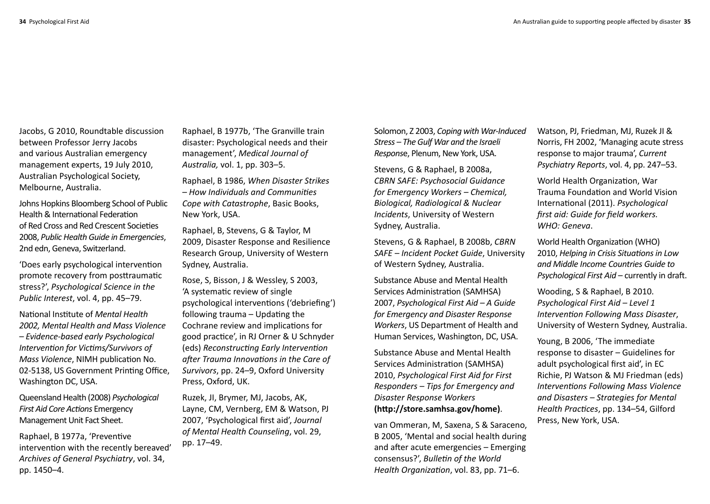Jacobs, G 2010, Roundtable discussion between Professor Jerry Jacobs and various Australian emergency management experts, 19 July 2010, Australian Psychological Society, Melbourne, Australia.

Johns Hopkins Bloomberg School of Public Health & International Federation of Red Cross and Red Crescent Societies 2008, *Public Health Guide in Emergencies*, 2nd edn, Geneva, Switzerland.

'Does early psychological intervention promote recovery from posttraumatic stress?', *Psychological Science in the Public Interest*, vol. 4, pp. 45–79.

National Institute of *Mental Health 2002, Mental Health and Mass Violence – Evidence-based early Psychological Intervention for Victims/Survivors of Mass Violence*, NIMH publication No. 02-5138, US Government Printing Office, Washington DC, USA.

Queensland Health (2008) *Psychological First Aid Core Actions* Emergency Management Unit Fact Sheet.

Raphael, B 1977a, 'Preventive intervention with the recently bereaved' *Archives of General Psychiatry*, vol. 34, pp. 1450–4.

Raphael, B 1977b, 'The Granville train disaster: Psychological needs and their management', *Medical Journal of Australia,* vol. 1, pp. 303–5.

Raphael, B 1986, *When Disaster Strikes – How Individuals and Communities Cope with Catastrophe*, Basic Books, New York, USA.

Raphael, B, Stevens, G & Taylor, M 2009, Disaster Response and Resilience Research Group, University of Western Sydney, Australia.

Rose, S, Bisson, J & Wessley, S 2003, 'A systematic review of single psychological interventions ('debriefing') following trauma – Updating the Cochrane review and implications for good practice', in RJ Orner & U Schnyder (eds) *Reconstructing Early Intervention after Trauma Innovations in the Care of Survivors*, pp. 24–9, Oxford University Press, Oxford, UK.

Ruzek, JI, Brymer, MJ, Jacobs, AK, Layne, CM, Vernberg, EM & Watson, PJ 2007, 'Psychological first aid', *Journal of Mental Health Counseling*, vol. 29, pp. 17–49.

Solomon, Z 2003, *Coping with War-Induced Stress – The Gulf War and the Israeli Respons*e, Plenum, New York, USA.

Stevens, G & Raphael, B 2008a, *CBRN SAFE: Psychosocial Guidance for Emergency Workers – Chemical, Biological, Radiological & Nuclear Incidents*, University of Western Sydney, Australia.

Stevens, G & Raphael, B 2008b, *CBRN SAFE – Incident Pocket Guide*, University of Western Sydney, Australia.

Substance Abuse and Mental Health Services Administration (SAMHSA) 2007, *Psychological First Aid – A Guide for Emergency and Disaster Response Workers*, US Department of Health and Human Services, Washington, DC, USA.

Substance Abuse and Mental Health Services Administration (SAMHSA) 2010, *Psychological First Aid for First Responders – Tips for Emergency and Disaster Response Workers* **(http://store.samhsa.gov/home)**.

van Ommeran, M, Saxena, S & Saraceno, B 2005, 'Mental and social health during and after acute emergencies – Emerging consensus?', *Bulletin of the World Health Organization*, vol. 83, pp. 71–6.

Watson, PJ, Friedman, MJ, Ruzek JI & Norris, FH 2002, 'Managing acute stress response to major trauma', *Current Psychiatry Reports*, vol. 4, pp. 247–53.

World Health Organization, War Trauma Foundation and World Vision International (2011). *Psychological first aid: Guide for field workers. WHO: Geneva*.

World Health Organization (WHO) 2010, *Helping in Crisis Situations in Low and Middle Income Countries Guide to Psychological First Aid* – currently in draft.

Wooding, S & Raphael, B 2010. *Psychological First Aid – Level 1 Intervention Following Mass Disaster*, University of Western Sydney, Australia.

Young, B 2006, 'The immediate response to disaster – Guidelines for adult psychological first aid', in EC Richie, PJ Watson & MJ Friedman (eds) *Interventions Following Mass Violence and Disasters – Strategies for Mental Health Practices*, pp. 134–54, Gilford Press, New York, USA.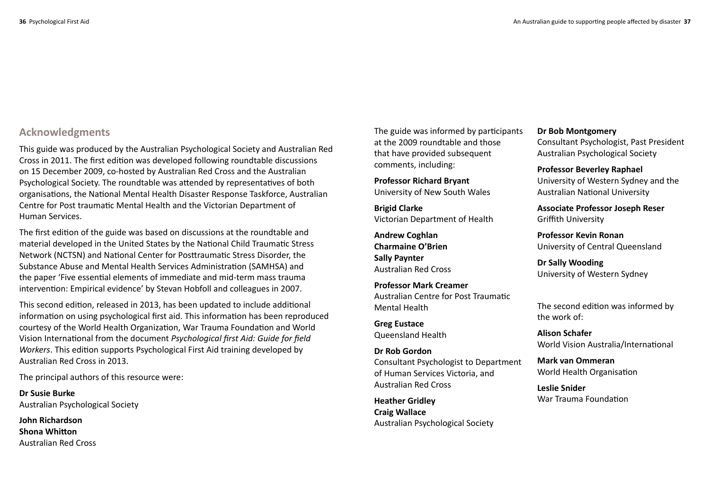## **Acknowledgments**

This guide was produced by the Australian Psychological Society and Australian Red Cross in 2011. The first edition was developed following roundtable discussions on 15 December 2009, co-hosted by Australian Red Cross and the Australian Psychological Society. The roundtable was attended by representatives of both organisations, the National Mental Health Disaster Response Taskforce, Australian Centre for Post traumatic Mental Health and the Victorian Department of Human Services.

The first edition of the guide was based on discussions at the roundtable and material developed in the United States by the National Child Traumatic Stress Network (NCTSN) and National Center for Posttraumatic Stress Disorder, the Substance Abuse and Mental Health Services Administration (SAMHSA) and the paper 'Five essential elements of immediate and mid-term mass trauma intervention: Empirical evidence' by Stevan Hobfoll and colleagues in 2007.

This second edition, released in 2013, has been updated to include additional information on using psychological first aid. This information has been reproduced courtesy of the World Health Organization, War Trauma Foundation and World Vision International from the document *Psychological first Aid: Guide for field Workers*. This edition supports Psychological First Aid training developed by Australian Red Cross in 2013.

The principal authors of this resource were:

**Dr Susie Burke** Australian Psychological Society

**John Richardson Shona Whitton**  Australian Red Cross The guide was informed by participants at the 2009 roundtable and those that have provided subsequent comments, including:

**Professor Richard Bryant** University of New South Wales

**Brigid Clarke** Victorian Department of Health

**Andrew Coghlan Charmaine O'Brien Sally Paynter** Australian Red Cross

**Professor Mark Creamer** Australian Centre for Post Traumatic Mental Health

**Greg Eustace** Queensland Health

**Dr Rob Gordon** Consultant Psychologist to Department of Human Services Victoria, and Australian Red Cross

**Heather Gridley Craig Wallace** Australian Psychological Society

#### **Dr Bob Montgomery**

Consultant Psychologist, Past President Australian Psychological Society

**Professor Beverley Raphael**

University of Western Sydney and the Australian National University

**Associate Professor Joseph Reser** Griffith University

**Professor Kevin Ronan** University of Central Queensland

**Dr Sally Wooding** University of Western Sydney

The second edition was informed by the work of:

**Alison Schafer** World Vision Australia/International

**Mark van Ommeran** World Health Organisation

**Leslie Snider** War Trauma Foundation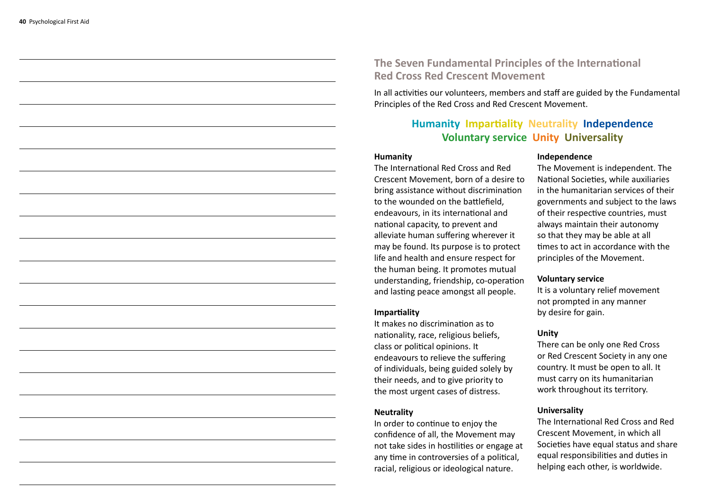**The Seven Fundamental Principles of the International Red Cross Red Crescent Movement**

In all activities our volunteers, members and staff are guided by the Fundamental Principles of the Red Cross and Red Crescent Movement.

## **Humanity Impartiality Neutrality Independence Voluntary service Unity Universality**

#### **Humanity**

The International Red Cross and Red Crescent Movement, born of a desire to bring assistance without discrimination to the wounded on the battlefield, endeavours, in its international and national capacity, to prevent and alleviate human suffering wherever it may be found. Its purpose is to protect life and health and ensure respect for the human being. It promotes mutual understanding, friendship, co-operation and lasting peace amongst all people.

#### **Impartiality**

It makes no discrimination as to nationality, race, religious beliefs, class or political opinions. It endeavours to relieve the suffering of individuals, being guided solely by their needs, and to give priority to the most urgent cases of distress.

#### **Neutrality**

In order to continue to enjoy the confidence of all, the Movement may not take sides in hostilities or engage at any time in controversies of a political, racial, religious or ideological nature.

#### **Independence**

The Movement is independent. The National Societies, while auxiliaries in the humanitarian services of their governments and subject to the laws of their respective countries, must always maintain their autonomy so that they may be able at all times to act in accordance with the principles of the Movement.

#### **Voluntary service**

It is a voluntary relief movement not prompted in any manner by desire for gain.

#### **Unity**

There can be only one Red Cross or Red Crescent Society in any one country. It must be open to all. It must carry on its humanitarian work throughout its territory.

#### **Universality**

The International Red Cross and Red Crescent Movement, in which all Societies have equal status and share equal responsibilities and duties in helping each other, is worldwide.